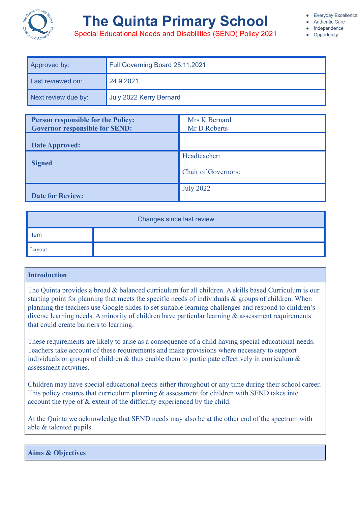

# **The Quinta Primary School**

**Authentic Care** Independence

• Opportunity

Special Educational Needs and Disabilities (SEND) Policy 2021

| Approved by:        | Full Governing Board 25.11.2021 |  |
|---------------------|---------------------------------|--|
| Last reviewed on:   | 24.9.2021                       |  |
| Next review due by: | July 2022 Kerry Bernard         |  |

| <b>Person responsible for the Policy:</b> | Mrs K Bernard              |
|-------------------------------------------|----------------------------|
| <b>Governor responsible for SEND:</b>     | Mr D Roberts               |
| <b>Date Approved:</b>                     |                            |
|                                           | Headteacher:               |
| <b>Signed</b>                             | <b>Chair of Governors:</b> |
| <b>Date for Review:</b>                   | <b>July 2022</b>           |

| Changes since last review |  |  |
|---------------------------|--|--|
| Item                      |  |  |
| Layout                    |  |  |

# **Introduction**

The Quinta provides a broad & balanced curriculum for all children. A skills based Curriculum is our starting point for planning that meets the specific needs of individuals & groups of children. When planning the teachers use Google slides to set suitable learning challenges and respond to children's diverse learning needs. A minority of children have particular learning & assessment requirements that could create barriers to learning.

These requirements are likely to arise as a consequence of a child having special educational needs. Teachers take account of these requirements and make provisions where necessary to support individuals or groups of children  $\&$  thus enable them to participate effectively in curriculum  $\&$ assessment activities.

Children may have special educational needs either throughout or any time during their school career. This policy ensures that curriculum planning  $\&$  assessment for children with SEND takes into account the type of & extent of the difficulty experienced by the child.

At the Quinta we acknowledge that SEND needs may also be at the other end of the spectrum with able & talented pupils.

**Aims & Objectives**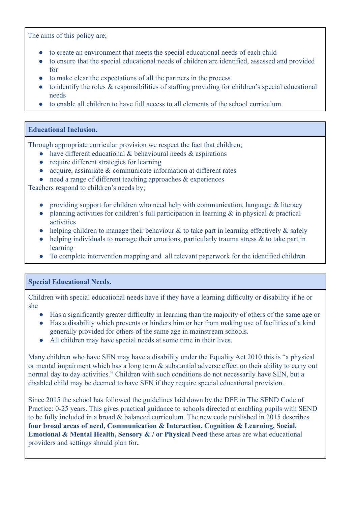The aims of this policy are;

- to create an environment that meets the special educational needs of each child
- to ensure that the special educational needs of children are identified, assessed and provided for
- to make clear the expectations of all the partners in the process
- to identify the roles & responsibilities of staffing providing for children's special educational needs
- to enable all children to have full access to all elements of the school curriculum

## **Educational Inclusion.**

Through appropriate curricular provision we respect the fact that children;

- $\bullet$  have different educational & behavioural needs & aspirations
- require different strategies for learning
- acquire, assimilate & communicate information at different rates
- $\bullet$  need a range of different teaching approaches  $\&$  experiences

Teachers respond to children's needs by;

- providing support for children who need help with communication, language & literacy
- planning activities for children's full participation in learning & in physical & practical activities
- helping children to manage their behaviour  $\&$  to take part in learning effectively  $\&$  safely
- $\bullet$  helping individuals to manage their emotions, particularly trauma stress & to take part in learning
- To complete intervention mapping and all relevant paperwork for the identified children

### **Special Educational Needs.**

Children with special educational needs have if they have a learning difficulty or disability if he or she

- Has a significantly greater difficulty in learning than the majority of others of the same age or
- Has a disability which prevents or hinders him or her from making use of facilities of a kind generally provided for others of the same age in mainstream schools.
- All children may have special needs at some time in their lives.

Many children who have SEN may have a disability under the Equality Act 2010 this is "a physical or mental impairment which has a long term & substantial adverse effect on their ability to carry out normal day to day activities." Children with such conditions do not necessarily have SEN, but a disabled child may be deemed to have SEN if they require special educational provision.

Since 2015 the school has followed the guidelines laid down by the DFE in The SEND Code of Practice: 0-25 years. This gives practical guidance to schools directed at enabling pupils with SEND to be fully included in a broad & balanced curriculum. The new code published in 2015 describes **four broad areas of need, Communication & Interaction, Cognition & Learning, Social, Emotional & Mental Health, Sensory & / or Physical Need** these areas are what educational providers and settings should plan for**.**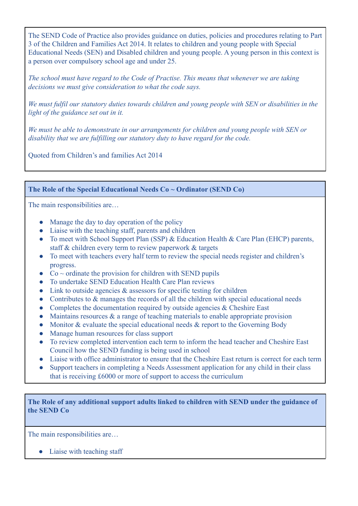The SEND Code of Practice also provides guidance on duties, policies and procedures relating to Part 3 of the Children and Families Act 2014. It relates to children and young people with Special Educational Needs (SEN) and Disabled children and young people. A young person in this context is a person over compulsory school age and under 25.

*The school must have regard to the Code of Practise. This means that whenever we are taking decisions we must give consideration to what the code says.*

*We must fulfil our statutory duties towards children and young people with SEN or disabilities in the light of the guidance set out in it.*

*We must be able to demonstrate in our arrangements for children and young people with SEN or disability that we are fulfilling our statutory duty to have regard for the code.*

Quoted from Children's and families Act 2014

**The Role of the Special Educational Needs Co ~ Ordinator (SEND Co)**

The main responsibilities are...

- Manage the day to day operation of the policy
- Liaise with the teaching staff, parents and children
- To meet with School Support Plan (SSP) & Education Health & Care Plan (EHCP) parents, staff & children every term to review paperwork & targets
- To meet with teachers every half term to review the special needs register and children's progress.
- $Co \sim$  ordinate the provision for children with SEND pupils
- To undertake SEND Education Health Care Plan reviews
- $\bullet$  Link to outside agencies & assessors for specific testing for children
- Contributes to & manages the records of all the children with special educational needs
- Completes the documentation required by outside agencies  $&$  Cheshire East
- $\bullet$  Maintains resources  $\&$  a range of teaching materials to enable appropriate provision
- Monitor & evaluate the special educational needs & report to the Governing Body
- Manage human resources for class support
- To review completed intervention each term to inform the head teacher and Cheshire East Council how the SEND funding is being used in school
- Liaise with office administrator to ensure that the Cheshire East return is correct for each term
- Support teachers in completing a Needs Assessment application for any child in their class that is receiving £6000 or more of support to access the curriculum

**The Role of any additional support adults linked to children with SEND under the guidance of the SEND Co**

The main responsibilities are...

• Liaise with teaching staff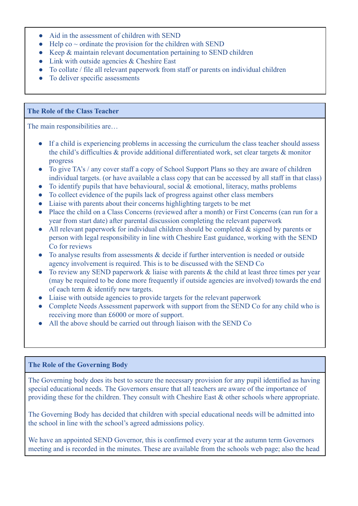- Aid in the assessment of children with SEND
- Help co  $\sim$  ordinate the provision for the children with SEND
- Keep & maintain relevant documentation pertaining to SEND children
- Link with outside agencies & Cheshire East
- To collate / file all relevant paperwork from staff or parents on individual children
- To deliver specific assessments

#### **The Role of the Class Teacher**

The main responsibilities are…

- If a child is experiencing problems in accessing the curriculum the class teacher should assess the child's difficulties & provide additional differentiated work, set clear targets & monitor progress
- To give TA's / any cover staff a copy of School Support Plans so they are aware of children individual targets. (or have available a class copy that can be accessed by all staff in that class)
- To identify pupils that have behavioural, social  $&$  emotional, literacy, maths problems
- To collect evidence of the pupils lack of progress against other class members
- Liaise with parents about their concerns highlighting targets to be met
- Place the child on a Class Concerns (reviewed after a month) or First Concerns (can run for a year from start date) after parental discussion completing the relevant paperwork
- All relevant paperwork for individual children should be completed & signed by parents or person with legal responsibility in line with Cheshire East guidance, working with the SEND Co for reviews
- To analyse results from assessments & decide if further intervention is needed or outside agency involvement is required. This is to be discussed with the SEND Co
- To review any SEND paperwork  $&$  liaise with parents  $&$  the child at least three times per year (may be required to be done more frequently if outside agencies are involved) towards the end of each term & identify new targets.
- Liaise with outside agencies to provide targets for the relevant paperwork
- Complete Needs Assessment paperwork with support from the SEND Co for any child who is receiving more than £6000 or more of support.
- All the above should be carried out through liaison with the SEND Co

## **The Role of the Governing Body**

The Governing body does its best to secure the necessary provision for any pupil identified as having special educational needs. The Governors ensure that all teachers are aware of the importance of providing these for the children. They consult with Cheshire East & other schools where appropriate.

The Governing Body has decided that children with special educational needs will be admitted into the school in line with the school's agreed admissions policy.

We have an appointed SEND Governor, this is confirmed every year at the autumn term Governors meeting and is recorded in the minutes. These are available from the schools web page; also the head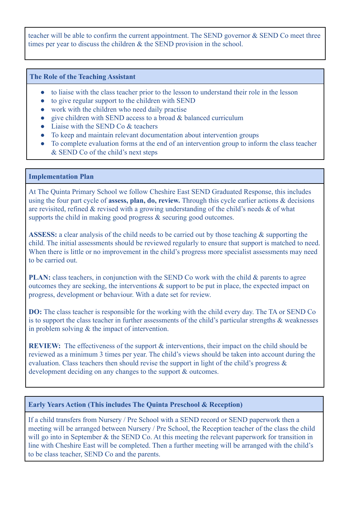teacher will be able to confirm the current appointment. The SEND governor & SEND Co meet three times per year to discuss the children & the SEND provision in the school.

#### **The Role of the Teaching Assistant**

- to liaise with the class teacher prior to the lesson to understand their role in the lesson
- to give regular support to the children with SEND
- work with the children who need daily practise
- $\bullet$  give children with SEND access to a broad  $\&$  balanced curriculum
- Liaise with the SEND Co & teachers
- To keep and maintain relevant documentation about intervention groups
- To complete evaluation forms at the end of an intervention group to inform the class teacher & SEND Co of the child's next steps

#### **Implementation Plan**

At The Quinta Primary School we follow Cheshire East SEND Graduated Response, this includes using the four part cycle of **assess, plan, do, review.** Through this cycle earlier actions & decisions are revisited, refined & revised with a growing understanding of the child's needs & of what supports the child in making good progress  $\&$  securing good outcomes.

**ASSESS:** a clear analysis of the child needs to be carried out by those teaching & supporting the child. The initial assessments should be reviewed regularly to ensure that support is matched to need. When there is little or no improvement in the child's progress more specialist assessments may need to be carried out.

**PLAN:** class teachers, in conjunction with the SEND Co work with the child & parents to agree outcomes they are seeking, the interventions & support to be put in place, the expected impact on progress, development or behaviour. With a date set for review.

**DO:** The class teacher is responsible for the working with the child every day. The TA or SEND Co is to support the class teacher in further assessments of the child's particular strengths & weaknesses in problem solving & the impact of intervention.

**REVIEW:** The effectiveness of the support & interventions, their impact on the child should be reviewed as a minimum 3 times per year. The child's views should be taken into account during the evaluation. Class teachers then should revise the support in light of the child's progress & development deciding on any changes to the support & outcomes.

### **Early Years Action (This includes The Quinta Preschool & Reception)**

If a child transfers from Nursery / Pre School with a SEND record or SEND paperwork then a meeting will be arranged between Nursery / Pre School, the Reception teacher of the class the child will go into in September & the SEND Co. At this meeting the relevant paperwork for transition in line with Cheshire East will be completed. Then a further meeting will be arranged with the child's to be class teacher, SEND Co and the parents.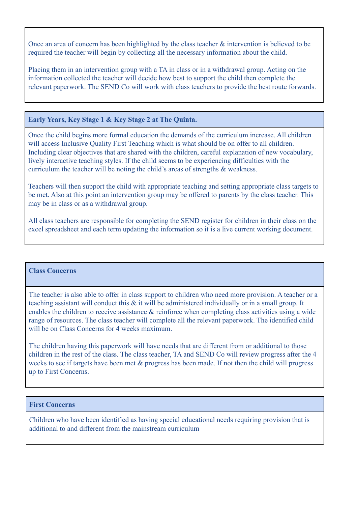Once an area of concern has been highlighted by the class teacher & intervention is believed to be required the teacher will begin by collecting all the necessary information about the child.

Placing them in an intervention group with a TA in class or in a withdrawal group. Acting on the information collected the teacher will decide how best to support the child then complete the relevant paperwork. The SEND Co will work with class teachers to provide the best route forwards.

## **Early Years, Key Stage 1 & Key Stage 2 at The Quinta.**

Once the child begins more formal education the demands of the curriculum increase. All children will access Inclusive Quality First Teaching which is what should be on offer to all children. Including clear objectives that are shared with the children, careful explanation of new vocabulary, lively interactive teaching styles. If the child seems to be experiencing difficulties with the curriculum the teacher will be noting the child's areas of strengths & weakness.

Teachers will then support the child with appropriate teaching and setting appropriate class targets to be met. Also at this point an intervention group may be offered to parents by the class teacher. This may be in class or as a withdrawal group.

All class teachers are responsible for completing the SEND register for children in their class on the excel spreadsheet and each term updating the information so it is a live current working document.

### **Class Concerns**

The teacher is also able to offer in class support to children who need more provision. A teacher or a teaching assistant will conduct this & it will be administered individually or in a small group. It enables the children to receive assistance & reinforce when completing class activities using a wide range of resources. The class teacher will complete all the relevant paperwork. The identified child will be on Class Concerns for 4 weeks maximum.

The children having this paperwork will have needs that are different from or additional to those children in the rest of the class. The class teacher, TA and SEND Co will review progress after the 4 weeks to see if targets have been met  $\&$  progress has been made. If not then the child will progress up to First Concerns.

## **First Concerns**

Children who have been identified as having special educational needs requiring provision that is additional to and different from the mainstream curriculum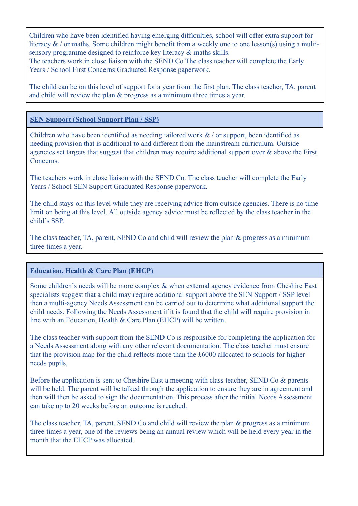Children who have been identified having emerging difficulties, school will offer extra support for literacy  $\&$  / or maths. Some children might benefit from a weekly one to one lesson(s) using a multisensory programme designed to reinforce key literacy & maths skills.

The teachers work in close liaison with the SEND Co The class teacher will complete the Early Years / School First Concerns Graduated Response paperwork.

The child can be on this level of support for a year from the first plan. The class teacher, TA, parent and child will review the plan & progress as a minimum three times a year.

### **SEN Support (School Support Plan / SSP)**

Children who have been identified as needing tailored work  $\&$  / or support, been identified as needing provision that is additional to and different from the mainstream curriculum. Outside agencies set targets that suggest that children may require additional support over & above the First Concerns.

The teachers work in close liaison with the SEND Co. The class teacher will complete the Early Years / School SEN Support Graduated Response paperwork.

The child stays on this level while they are receiving advice from outside agencies. There is no time limit on being at this level. All outside agency advice must be reflected by the class teacher in the child's SSP.

The class teacher, TA, parent, SEND Co and child will review the plan & progress as a minimum three times a year.

### **Education, Health & Care Plan (EHCP)**

Some children's needs will be more complex & when external agency evidence from Cheshire East specialists suggest that a child may require additional support above the SEN Support / SSP level then a multi-agency Needs Assessment can be carried out to determine what additional support the child needs. Following the Needs Assessment if it is found that the child will require provision in line with an Education, Health & Care Plan (EHCP) will be written.

The class teacher with support from the SEND Co is responsible for completing the application for a Needs Assessment along with any other relevant documentation. The class teacher must ensure that the provision map for the child reflects more than the £6000 allocated to schools for higher needs pupils,

Before the application is sent to Cheshire East a meeting with class teacher, SEND Co & parents will be held. The parent will be talked through the application to ensure they are in agreement and then will then be asked to sign the documentation. This process after the initial Needs Assessment can take up to 20 weeks before an outcome is reached.

The class teacher, TA, parent, SEND Co and child will review the plan & progress as a minimum three times a year, one of the reviews being an annual review which will be held every year in the month that the EHCP was allocated.